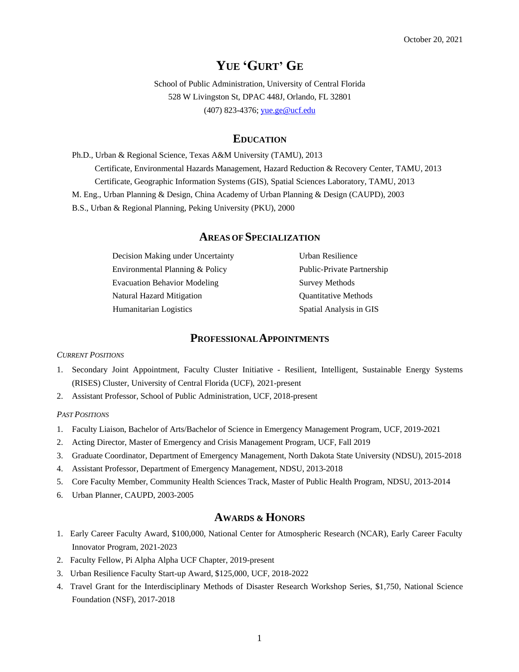# **YUE 'GURT' GE**

School of Public Administration, University of Central Florida 528 W Livingston St, DPAC 448J, Orlando, FL 32801 (407) 823-4376; [yue.ge@ucf.edu](mailto:yue.ge@ucf.edu)

## **EDUCATION**

Ph.D., Urban & Regional Science, Texas A&M University (TAMU), 2013 Certificate, Environmental Hazards Management, Hazard Reduction & Recovery Center, TAMU, 2013 Certificate, Geographic Information Systems (GIS), Spatial Sciences Laboratory, TAMU, 2013 M. Eng., Urban Planning & Design, China Academy of Urban Planning & Design (CAUPD), 2003 B.S., Urban & Regional Planning, Peking University (PKU), 2000

# **AREAS OF SPECIALIZATION**

Decision Making under Uncertainty **Urban Resilience** Environmental Planning & Policy Public-Private Partnership Evacuation Behavior Modeling Survey Methods Natural Hazard Mitigation **Quantitative Methods** Humanitarian Logistics Spatial Analysis in GIS

## **PROFESSIONALAPPOINTMENTS**

#### *CURRENT POSITIONS*

- 1. Secondary Joint Appointment, Faculty Cluster Initiative Resilient, Intelligent, Sustainable Energy Systems (RISES) Cluster, University of Central Florida (UCF), 2021-present
- 2. Assistant Professor, School of Public Administration, UCF, 2018-present

#### *PAST POSITIONS*

- 1. Faculty Liaison, Bachelor of Arts/Bachelor of Science in Emergency Management Program, UCF, 2019-2021
- 2. Acting Director, Master of Emergency and Crisis Management Program, UCF, Fall 2019
- 3. Graduate Coordinator, Department of Emergency Management, North Dakota State University (NDSU), 2015-2018
- 4. Assistant Professor, Department of Emergency Management, NDSU, 2013-2018
- 5. Core Faculty Member, Community Health Sciences Track, Master of Public Health Program, NDSU, 2013-2014
- 6. Urban Planner, CAUPD, 2003-2005

# **AWARDS & HONORS**

- 1. Early Career Faculty Award, \$100,000, National Center for Atmospheric Research (NCAR), Early Career Faculty Innovator Program, 2021-2023
- 2. Faculty Fellow, Pi Alpha Alpha UCF Chapter, 2019-present
- 3. Urban Resilience Faculty Start-up Award, \$125,000, UCF, 2018-2022
- 4. Travel Grant for the Interdisciplinary Methods of Disaster Research Workshop Series, \$1,750, National Science Foundation (NSF), 2017-2018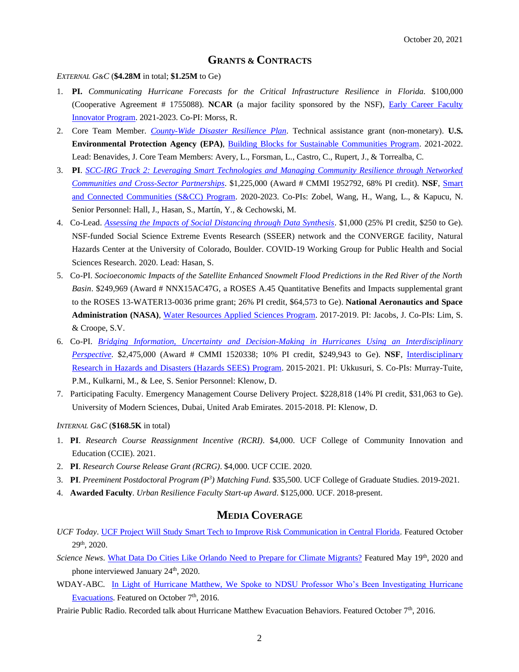## **GRANTS & CONTRACTS**

#### *EXTERNAL G&C* (**\$4.28M** in total; **\$1.25M** to Ge)

- 1. **PI.** *Communicating Hurricane Forecasts for the Critical Infrastructure Resilience in Florida*. \$100,000 (Cooperative Agreement # 1755088). **NCAR** (a major facility sponsored by the NSF), [Early Career Faculty](https://ncar.ucar.edu/what-we-offer/education-outreach/early-career-opportunities)  [Innovator Program.](https://ncar.ucar.edu/what-we-offer/education-outreach/early-career-opportunities) 2021-2023. Co-PI: Morss, R.
- 2. Core Team Member. *[County-Wide Disaster Resilience Plan](https://www.epa.gov/newsreleases/epa-provide-building-blocks-assistance-orange-county-florida)*. Technical assistance grant (non-monetary). **U.S. Environmental Protection Agency (EPA)**, [Building Blocks for Sustainable Communities Program.](https://www.epa.gov/smartgrowth/building-blocks-sustainable-communities) 2021-2022. Lead: Benavides, J. Core Team Members: Avery, L., Forsman, L., Castro, C., Rupert, J., & Torrealba, C.
- 3. **PI**. *[SCC-IRG Track 2: Leveraging Smart Technologies and Managing Community Resilience through Networked](https://www.nsf.gov/awardsearch/showAward?AWD_ID=1952792&HistoricalAwards=false)  [Communities and Cross-Sector Partnerships](https://www.nsf.gov/awardsearch/showAward?AWD_ID=1952792&HistoricalAwards=false)*. \$1,225,000 (Award # CMMI 1952792, 68% PI credit). **NSF**, [Smart](https://www.nsf.gov/funding/pgm_summ.jsp?pims_id=505364&org=CISE&from=home)  [and Connected Communities \(S&CC\) Program.](https://www.nsf.gov/funding/pgm_summ.jsp?pims_id=505364&org=CISE&from=home) 2020-2023. Co-PIs: Zobel, Wang, H., Wang, L., & Kapucu, N. Senior Personnel: Hall, J., Hasan, S., Martín, Y., & Cechowski, M.
- 4. Co-Lead. *[Assessing the Impacts of Social Distancing through Data Synthesis](https://converge.colorado.edu/resources/covid-19/working-groups/research-networks-methods-ethics/assessing-the-impacts-of-social-distancing-through-data-synthesis)*. \$1,000 (25% PI credit, \$250 to Ge). NSF-funded Social Science Extreme Events Research (SSEER) network and the CONVERGE facility, Natural Hazards Center at the University of Colorado, Boulder. COVID-19 Working Group for Public Health and Social Sciences Research. 2020. Lead: Hasan, S.
- 5. Co-PI. *Socioeconomic Impacts of the Satellite Enhanced Snowmelt Flood Predictions in the Red River of the North Basin*. \$249,969 (Award # NNX15AC47G, a ROSES A.45 Quantitative Benefits and Impacts supplemental grant to the ROSES 13-WATER13-0036 prime grant; 26% PI credit, \$64,573 to Ge). **National Aeronautics and Space Administration (NASA)**, [Water Resources Applied Sciences Program.](https://appliedsciences.nasa.gov/what-we-do/water-resources) 2017-2019. PI: Jacobs, J. Co-PIs: Lim, S. & Croope, S.V.
- 6. Co-PI. *[Bridging Information, Uncertainty and Decision-Making in Hurricanes Using an Interdisciplinary](https://www.nsf.gov/awardsearch/showAward?AWD_ID=1520338)  [Perspective](https://www.nsf.gov/awardsearch/showAward?AWD_ID=1520338)*. \$2,475,000 (Award # CMMI 1520338; 10% PI credit, \$249,943 to Ge). **NSF**, [Interdisciplinary](https://www.nsf.gov/pubs/2014/nsf14581/nsf14581.htm#:~:text=Hazards%20SEES%20is%20a%20program%20involving%20multiple%20NSF,to%20respond%20to%20and%20recover%20from%20resultant%20disasters.)  [Research in Hazards and Disasters \(Hazards SEES\)](https://www.nsf.gov/pubs/2014/nsf14581/nsf14581.htm#:~:text=Hazards%20SEES%20is%20a%20program%20involving%20multiple%20NSF,to%20respond%20to%20and%20recover%20from%20resultant%20disasters.) Program. 2015-2021. PI: Ukkusuri, S. Co-PIs: Murray-Tuite, P.M., Kulkarni, M., & Lee, S. Senior Personnel: Klenow, D.
- 7. Participating Faculty. Emergency Management Course Delivery Project. \$228,818 (14% PI credit, \$31,063 to Ge). University of Modern Sciences, Dubai, United Arab Emirates. 2015-2018. PI: Klenow, D.

#### *INTERNAL G&C* (**\$168.5K** in total)

- 1. **PI**. *Research Course Reassignment Incentive (RCRI)*. \$4,000. UCF College of Community Innovation and Education (CCIE). 2021.
- 2. **PI**. *Research Course Release Grant (RCRG)*. \$4,000. UCF CCIE. 2020.
- 3. **PI**. *Preeminent Postdoctoral Program (P<sup>3</sup> ) Matching Fund*. \$35,500. UCF College of Graduate Studies. 2019-2021.
- 4. **Awarded Faculty**. *Urban Resilience Faculty Start-up Award*. \$125,000. UCF. 2018-present.

## **MEDIA COVERAGE**

- *UCF Today*. [UCF Project Will Study Smart Tech to Improve Risk Communication in Central Florida.](https://www.ucf.edu/news/ucf-project-will-study-smart-tech-to-improve-risk-communication-in-central-florida/) Featured October 29th, 2020.
- *Science News*. [What Data Do Cities Like Orlando Need to Prepare for Climate Migrants?](https://www.sciencenews.org/article/climate-change-migrants-destination-cities-data-orlando?fbclid=IwAR07lTg3faspnTTntNBX2IpV-ucet_0AcK7Bqg9Ov1vo9FZOyILct73d2GM) Featured May 19<sup>th</sup>, 2020 and phone interviewed January  $24<sup>th</sup>$ , 2020.
- WDAY-ABC. [In Light of Hurricane Matthew, We Spoke to NDSU Professor Who's Been Investigating Hurricane](http://www.wday.com/news/north-dakota/4131966-light-hurricane-matthew-we-spoke-ndsu-professor-whose-been-investigating)  [Evacuations.](http://www.wday.com/news/north-dakota/4131966-light-hurricane-matthew-we-spoke-ndsu-professor-whose-been-investigating) Featured on October 7<sup>th</sup>, 2016.

Prairie Public Radio. Recorded talk about Hurricane Matthew Evacuation Behaviors. Featured October 7th, 2016.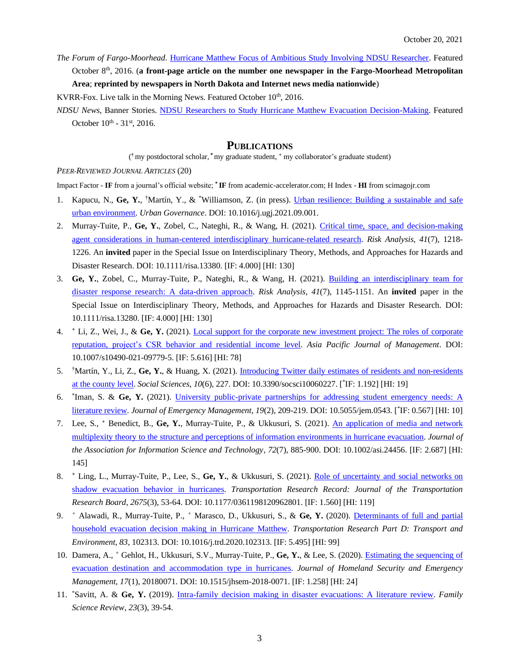*The Forum of Fargo-Moorhead*. [Hurricane Matthew Focus of Ambitious Study Involving NDSU Researcher.](http://www.inforum.com/news/4131996-hurricane-matthew-focus-ambitious-study-involving-ndsu-researcher) Featured October 8th, 2016. (**a front-page article on the number one newspaper in the Fargo-Moorhead Metropolitan Area**; **reprinted by newspapers in North Dakota and Internet news media nationwide**)

KVRR-Fox. Live talk in the Morning News. Featured October 10<sup>th</sup>, 2016.

*NDSU News*, Banner Stories. [NDSU Researchers to Study Hurricane Matthew Evacuation Decision-Making.](https://www.ndsu.edu/news/banner_stories/hurricanematthew/) Featured October  $10^{th}$  -  $31^{st}$ , 2016.

## **PUBLICATIONS**

( **†** my postdoctoral scholar, **\*** my graduate student, **<sup>+</sup>** my collaborator's graduate student)

#### *PEER-REVIEWED JOURNAL ARTICLES* (20)

Impact Factor - **IF** from a journal's official website; **\* IF** from academic-accelerator.com; H Index - **HI** from scimagojr.com

- 1. Kapucu, N., Ge, Y., <sup>†</sup>Martín, Y., & <sup>\*</sup>Williamson, Z. (in press). *Urban resilience: Building a sustainable and safe* [urban environment.](https://reader.elsevier.com/reader/sd/pii/S2664328621000012?token=553D324F00A169172581DF703C48386109EEC541EB4B2EBC82E49749479E6A37BB8EDBDD9EF5556382C33C0CF47AFCB6&originRegion=us-east-1&originCreation=20211015152217) *Urban Governance*. DOI: 10.1016/j.ugj.2021.09.001.
- 2. Murray-Tuite, P., **Ge, Y.**, Zobel, C., Nateghi, R., & Wang, H. (2021). [Critical time, space, and decision-making](https://onlinelibrary.wiley.com/doi/10.1111/risa.13380)  [agent considerations in human-centered interdisciplinary hurricane-related research.](https://onlinelibrary.wiley.com/doi/10.1111/risa.13380) *Risk Analysis*, *41*(7), 1218- 1226. An **invited** paper in the Special Issue on Interdisciplinary Theory, Methods, and Approaches for Hazards and Disaster Research. DOI: 10.1111/risa.13380. [IF: 4.000] [HI: 130]
- 3. **Ge, Y.**, Zobel, C., Murray-Tuite, P., Nateghi, R., & Wang, H. (2021). [Building an interdisciplinary team for](https://onlinelibrary.wiley.com/doi/10.1111/risa.13280)  [disaster response research: A data-driven approach.](https://onlinelibrary.wiley.com/doi/10.1111/risa.13280) *Risk Analysis*, *41*(7), 1145-1151. An **invited** paper in the Special Issue on Interdisciplinary Theory, Methods, and Approaches for Hazards and Disaster Research. DOI: 10.1111/risa.13280. [IF: 4.000] [HI: 130]
- 4. **<sup>+</sup>** Li, Z., Wei, J., & **Ge, Y.** (2021). [Local support for the corporate new investment project: The roles](https://link.springer.com/article/10.1007/s10490-021-09779-5?utm_medium=affiliate&utm_source=commission_junction&utm_campaign=3_nsn6445_brand_PID100357191&utm_content=de_textlink) of corporate [reputation, project's CSR behavior and residential income level.](https://link.springer.com/article/10.1007/s10490-021-09779-5?utm_medium=affiliate&utm_source=commission_junction&utm_campaign=3_nsn6445_brand_PID100357191&utm_content=de_textlink) *Asia Pacific Journal of Management*. DOI: 10.1007/s10490-021-09779-5. [IF: 5.616] [HI: 78]
- 5. †Martín, Y., Li, Z., **Ge, Y.**, & Huang, X. (2021). [Introducing Twitter daily estimates of residents and non-residents](https://www.mdpi.com/2076-0760/10/6/227)  [at the county level.](https://www.mdpi.com/2076-0760/10/6/227) *Social Sciences*, *10*(6), 227. DOI: [10.3390/socsci10060227.](http://dx.doi.org/10.3390/socsci10060227) [<sup>\*</sup>IF: 1.192] [HI: 19]
- 6. \* Iman, S. & **Ge, Y.** (2021). [University public-private partnerships for addressing student emergency needs: A](https://wmpllc.org/ojs/index.php/jem/article/view/2948)  [literature review.](https://wmpllc.org/ojs/index.php/jem/article/view/2948) *Journal of Emergency Management*, *19*(2), 209-219. DOI: 10.5055/jem.0543. [ \* IF: 0.567] [HI: 10]
- 7. Lee, S., **<sup>+</sup>** Benedict, B., **Ge, Y.**, Murray-Tuite, P., & Ukkusuri, S. (2021). [An application of media and network](https://asistdl.onlinelibrary.wiley.com/doi/10.1002/asi.24456)  [multiplexity theory to the structure and perceptions of information environments in hurricane evacuation.](https://asistdl.onlinelibrary.wiley.com/doi/10.1002/asi.24456) *Journal of the Association for Information Science and Technology*, *72*(7), 885-900. DOI: 10.1002/asi.24456. [IF: 2.687] [HI: 145]
- 8. **<sup>+</sup>** Ling, L., Murray-Tuite, P., Lee, S., **Ge, Y.**, & Ukkusuri, S. (2021). Role of [uncertainty and social networks](https://journals.sagepub.com/doi/10.1177/0361198120962801) on [shadow evacuation behavior](https://journals.sagepub.com/doi/10.1177/0361198120962801) in hurricanes. *Transportation Research Record: Journal of the Transportation Research Board*, *2675*(3), 53-64. DOI: 10.1177/0361198120962801. [IF: 1.560] [HI: 119]
- 9. *<sup>+</sup>* Alawadi, R., Murray-Tuite, P., *<sup>+</sup>* Marasco, D., Ukkusuri, S., & **Ge, Y.** (2020). [Determinants of full and partial](https://www.sciencedirect.com/science/article/pii/S1361920919309903)  [household evacuation decision making in Hurricane Matthew.](https://www.sciencedirect.com/science/article/pii/S1361920919309903) *Transportation Research Part D: Transport and Environment*, *83*, 102313. DOI: [10.1016/j.trd.2020.102313.](https://doi.org/10.1016/j.trd.2020.102313) [IF: 5.495] [HI: 99]
- 10. Damera, A., *<sup>+</sup>* Gehlot, H., Ukkusuri, S.V., Murray-Tuite, P., **Ge, Y.**, & Lee, S. (2020). [Estimating the sequencing of](https://www.degruyter.com/document/doi/10.1515/jhsem-2018-0071/html)  [evacuation destination and accommodation type in hurricanes.](https://www.degruyter.com/document/doi/10.1515/jhsem-2018-0071/html) *Journal of Homeland Security and Emergency Management*, *17*(1), 20180071. DOI: [10.1515/jhsem-2018-0071.](https://doi.org/10.1515/jhsem-2018-0071) [IF: 1.258] [HI: 24]
- 11. \*Savitt, A. & **Ge, Y.** (2019). [Intra-family decision making in disaster evacuations: A literature review.](https://drive.google.com/drive/folders/1l5aEtV7P4e3pv78KdbQ_HbfCtFdbFMV4) *Family Science Review*, *23*(3), 39-54.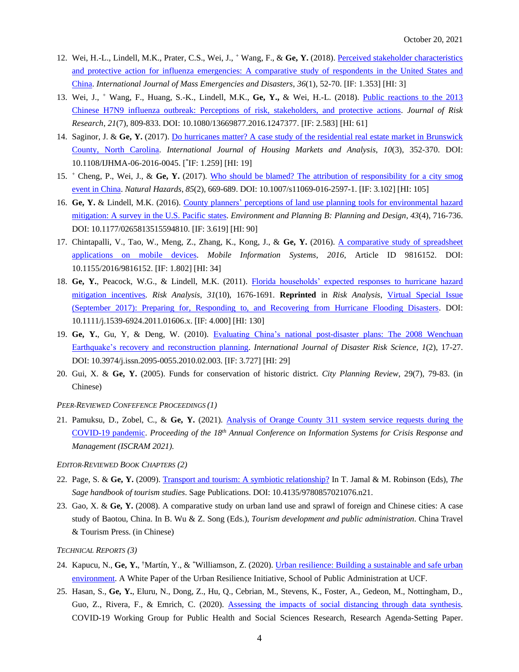- 12. Wei, H.-L., Lindell, M.K., Prater, C.S., Wei, J., <sup>+</sup> Wang, F., & **Ge, Y.** (2018)[. Perceived stakeholder characteristics](http://ijmed.org/articles/739/download/)  [and protective action for influenza emergencies: A comparative study of respondents in the United States and](http://ijmed.org/articles/739/download/)  [China.](http://ijmed.org/articles/739/download/) *International Journal of Mass Emergencies and Disasters*, *36*(1), 52-70. [IF: 1.353] [HI: 3]
- 13. Wei, J., <sup>+</sup> Wang, F., Huang, S.-K., Lindell, M.K., **Ge, Y.,** & Wei, H.-L. (2018). [Public reactions to the 2013](https://www.tandfonline.com/doi/full/10.1080/13669877.2016.1247377)  [Chinese H7N9 influenza outbreak: Perceptions of risk, stakeholders, and protective actions.](https://www.tandfonline.com/doi/full/10.1080/13669877.2016.1247377) *Journal of Risk Research*, *21*(7), 809-833. DOI: 10.1080/13669877.2016.1247377. [IF: 2.583] [HI: 61]
- 14. Saginor, J. & **Ge, Y.** (2017). [Do hurricanes matter? A case study of the residential real estate market in Brunswick](https://www.emerald.com/insight/content/doi/10.1108/IJHMA-06-2016-0045/full/html)  [County, North Carolina.](https://www.emerald.com/insight/content/doi/10.1108/IJHMA-06-2016-0045/full/html) *International Journal of Housing Markets and Analysis*, *10*(3), 352-370. DOI: 10.1108/IJHMA-06-2016-0045. [ \* IF: 1.259] [HI: 19]
- 15. <sup>+</sup> Cheng, P., Wei, J., & **Ge, Y.** (2017). [Who should be blamed? The attribution of responsibility for a city smog](https://link.springer.com/article/10.1007/s11069-016-2597-1)  [event in China.](https://link.springer.com/article/10.1007/s11069-016-2597-1) *Natural Hazards*, *85*(2), 669-689. DOI: 10.1007/s11069-016-2597-1. [IF: 3.102] [HI: 105]
- 16. **Ge, Y.** & Lindell, M.K. (2016). [County planners' perceptions of land use planning tools for environmental hazard](https://journals.sagepub.com/doi/10.1177/0265813515594810)  [mitigation: A survey in the U.S. Pacific states.](https://journals.sagepub.com/doi/10.1177/0265813515594810) *Environment and Planning B: Planning and Design*, *43*(4), 716-736. DOI: 10.1177/0265813515594810. [IF: 3.619] [HI: 90]
- 17. Chintapalli, V., Tao, W., Meng, Z., Zhang, K., Kong, J., & **Ge, Y.** (2016). [A comparative study of spreadsheet](https://www.hindawi.com/journals/misy/2016/9816152/)  [applications on mobile devices.](https://www.hindawi.com/journals/misy/2016/9816152/) *Mobile Information Systems*, *2016*, Article ID 9816152. DOI: 10.1155/2016/9816152. [IF: 1.802] [HI: 34]
- 18. **Ge, Y.**, Peacock, W.G., & Lindell, M.K. (2011). [Florida households' expected responses to hurricane hazard](https://onlinelibrary.wiley.com/doi/10.1111/j.1539-6924.2011.01606.x)  [mitigation incentives.](https://onlinelibrary.wiley.com/doi/10.1111/j.1539-6924.2011.01606.x) *Risk Analysis*, *31*(10), 1676-1691. **Reprinted** in *Risk Analysis*, [Virtual Special Issue](https://onlinelibrary.wiley.com/doi/toc/10.1111/(ISSN)4242-1117.hurricane-flooding-disasters) [\(September 2017\): Preparing for, Responding to, and Recovering from Hurricane Flooding Disasters.](https://onlinelibrary.wiley.com/doi/toc/10.1111/(ISSN)4242-1117.hurricane-flooding-disasters) DOI: 10.1111/j.1539-6924.2011.01606.x. [IF: 4.000] [HI: 130]
- 19. **Ge, Y.**, Gu, Y, & Deng, W. (2010). [Evaluating China's national post-disaster plans: The 2008 Wenchuan](https://link.springer.com/article/10.3974/j.issn.2095-0055.2010.02.003)  [Earthquake's recovery and reconstruction planning.](https://link.springer.com/article/10.3974/j.issn.2095-0055.2010.02.003) *International Journal of Disaster Risk Science*, *1*(2), 17-27. DOI: 10.3974/j.issn.2095-0055.2010.02.003. [IF: 3.727] [HI: 29]
- 20. Gui, X. & **Ge, Y.** (2005). Funds for conservation of historic district. *City Planning Review*, 29(7), 79-83. (in Chinese)

*PEER-REVIEWED CONFEFENCE PROCEEDINGS (1)*

21. Pamuksu, D., Zobel, C., & **Ge, Y.** (2021). [Analysis of Orange County 311 system service requests during the](http://idl.iscram.org/files/duygupamukcu/2021/2326_DuyguPamukcu_etal2021.pdf)  [COVID-19 pandemic.](http://idl.iscram.org/files/duygupamukcu/2021/2326_DuyguPamukcu_etal2021.pdf) *Proceeding of the 18 th Annual Conference on Information Systems for Crisis Response and Management (ISCRAM 2021).*

*EDITOR-REVIEWED BOOK CHAPTERS (2)*

- 22. Page, S. & **Ge, Y.** (2009). [Transport and tourism: A symbiotic relationship?](https://sk.sagepub.com/reference/hdbk_tourism/n21.xml) In T. Jamal & M. Robinson (Eds), *The Sage handbook of tourism studies*. Sage Publications. DOI: 10.4135/9780857021076.n21.
- 23. Gao, X. & **Ge, Y.** (2008). A comparative study on urban land use and sprawl of foreign and Chinese cities: A case study of Baotou, China. In B. Wu & Z. Song (Eds.), *Tourism development and public administration*. China Travel & Tourism Press. (in Chinese)

*TECHNICAL REPORTS (3)*

- 24. Kapucu, N., Ge, Y., <sup>†</sup>Martín, Y., & \*Williamson, Z. (2020). Urban resilience: Building a sustainable and safe urban [environment.](https://ucfurbanresilience.files.wordpress.com/2020/09/uri-white-paper-1.pdf) A White Paper of the Urban Resilience Initiative, School of Public Administration at UCF.
- 25. Hasan, S., **Ge, Y.**, Eluru, N., Dong, Z., Hu, Q., Cebrian, M., Stevens, K., Foster, A., Gedeon, M., Nottingham, D., Guo, Z., Rivera, F., & Emrich, C. (2020). [Assessing the impacts of social distancing through data synthesis.](https://converge.colorado.edu/v1/uploads/images/assessing_the_impacts_of_social_distancing_through_data_synthesis-1594478563271.pdf) COVID-19 Working Group for Public Health and Social Sciences Research, Research Agenda-Setting Paper.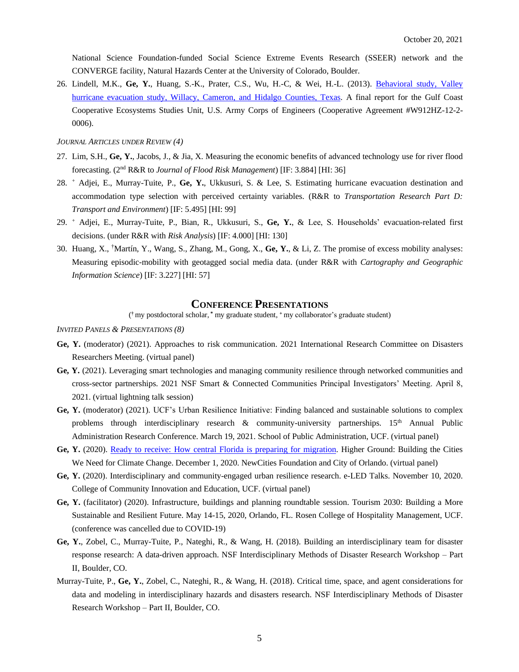National Science Foundation-funded Social Science Extreme Events Research (SSEER) network and the CONVERGE facility, Natural Hazards Center at the University of Colorado, Boulder.

26. Lindell, M.K., **Ge, Y.**, Huang, S.-K., Prater, C.S., Wu, H.-C, & Wei, H.-L. (2013). [Behavioral study, Valley](http://hrrc.arch.tamu.edu/publications/research%20reports/ValleyBehavioralStudy.pdf)  [hurricane evacuation study, Willacy, Cameron, and Hidalgo Counties, Texas.](http://hrrc.arch.tamu.edu/publications/research%20reports/ValleyBehavioralStudy.pdf) A final report for the Gulf Coast Cooperative Ecosystems Studies Unit, U.S. Army Corps of Engineers (Cooperative Agreement #W912HZ-12-2- 0006).

*JOURNAL ARTICLES UNDER REVIEW (4)*

- 27. Lim, S.H., **Ge, Y.**, Jacobs, J., & Jia, X. Measuring the economic benefits of advanced technology use for river flood forecasting. (2 nd R&R to *Journal of Flood Risk Management*) [IF: 3.884] [HI: 36]
- 28. <sup>+</sup> Adjei, E., Murray-Tuite, P., **Ge, Y.**, Ukkusuri, S. & Lee, S. Estimating hurricane evacuation destination and accommodation type selection with perceived certainty variables. (R&R to *Transportation Research Part D: Transport and Environment*) [IF: 5.495] [HI: 99]
- 29. <sup>+</sup> Adjei, E., Murray-Tuite, P., Bian, R., Ukkusuri, S., **Ge, Y.**, & Lee, S. Households' evacuation-related first decisions. (under R&R with *Risk Analysis*) [IF: 4.000] [HI: 130]
- 30. Huang, X., †Martín, Y., Wang, S., Zhang, M., Gong, X., **Ge, Y.**, & Li, Z. The promise of excess mobility analyses: Measuring episodic-mobility with geotagged social media data. (under R&R with *Cartography and Geographic Information Science*) [IF: 3.227] [HI: 57]

## **CONFERENCE PRESENTATIONS**

( **†** my postdoctoral scholar, **\*** my graduate student, **<sup>+</sup>** my collaborator's graduate student)

*INVITED PANELS & PRESENTATIONS (8)*

- **Ge, Y.** (moderator) (2021). Approaches to risk communication. 2021 International Research Committee on Disasters Researchers Meeting. (virtual panel)
- **Ge, Y.** (2021). Leveraging smart technologies and managing community resilience through networked communities and cross-sector partnerships. 2021 NSF Smart & Connected Communities Principal Investigators' Meeting. April 8, 2021. (virtual lightning talk session)
- **Ge, Y.** (moderator) (2021). UCF's Urban Resilience Initiative: Finding balanced and sustainable solutions to complex problems through interdisciplinary research  $\&$  community-university partnerships. 15<sup>th</sup> Annual Public Administration Research Conference. March 19, 2021. School of Public Administration, UCF. (virtual panel)
- **Ge, Y.** (2020). [Ready to receive: How central Florida is preparing for migration.](https://www.youtube.com/watch?v=tcs0UtMdDB0) Higher Ground: Building the Cities We Need for Climate Change. December 1, 2020. NewCities Foundation and City of Orlando. (virtual panel)
- **Ge, Y.** (2020). Interdisciplinary and community-engaged urban resilience research. e-LED Talks. November 10, 2020. College of Community Innovation and Education, UCF. (virtual panel)
- **Ge, Y.** (facilitator) (2020). Infrastructure, buildings and planning roundtable session. Tourism 2030: Building a More Sustainable and Resilient Future. May 14-15, 2020, Orlando, FL. Rosen College of Hospitality Management, UCF. (conference was cancelled due to COVID-19)
- **Ge, Y.**, Zobel, C., Murray-Tuite, P., Nateghi, R., & Wang, H. (2018). Building an interdisciplinary team for disaster response research: A data-driven approach. NSF Interdisciplinary Methods of Disaster Research Workshop – Part II, Boulder, CO.
- Murray-Tuite, P., **Ge, Y.**, Zobel, C., Nateghi, R., & Wang, H. (2018). Critical time, space, and agent considerations for data and modeling in interdisciplinary hazards and disasters research. NSF Interdisciplinary Methods of Disaster Research Workshop – Part II, Boulder, CO.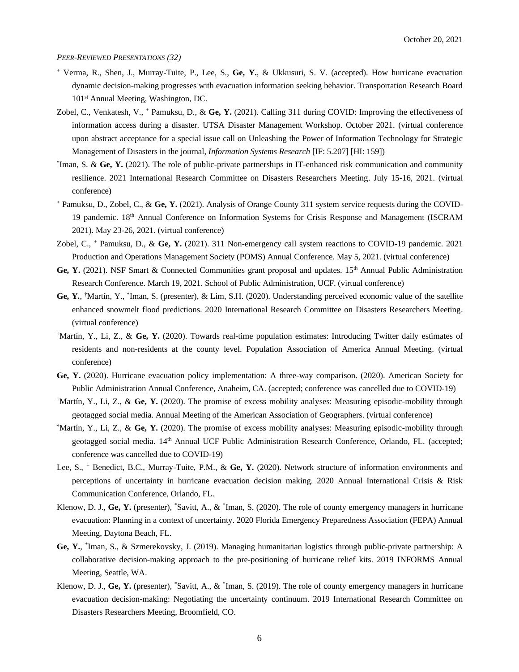#### *PEER-REVIEWED PRESENTATIONS (32)*

- <sup>+</sup> Verma, R., Shen, J., Murray-Tuite, P., Lee, S., **Ge, Y.**, & Ukkusuri, S. V. (accepted). How hurricane evacuation dynamic decision-making progresses with evacuation information seeking behavior. Transportation Research Board 101<sup>st</sup> Annual Meeting, Washington, DC.
- Zobel, C., Venkatesh, V., <sup>+</sup> Pamuksu, D., & **Ge, Y.** (2021). Calling 311 during COVID: Improving the effectiveness of information access during a disaster. UTSA Disaster Management Workshop. October 2021. (virtual conference upon abstract acceptance for a special issue call on Unleashing the Power of Information Technology for Strategic Management of Disasters in the journal, *Information Systems Research* [IF: 5.207] [HI: 159])
- \* Iman, S. & **Ge, Y.** (2021). The role of public-private partnerships in IT-enhanced risk communication and community resilience. 2021 International Research Committee on Disasters Researchers Meeting. July 15-16, 2021. (virtual conference)
- <sup>+</sup> Pamuksu, D., Zobel, C., & **Ge, Y.** (2021). Analysis of Orange County 311 system service requests during the COVID-19 pandemic. 18<sup>th</sup> Annual Conference on Information Systems for Crisis Response and Management (ISCRAM 2021). May 23-26, 2021. (virtual conference)
- Zobel, C., <sup>+</sup> Pamuksu, D., & **Ge, Y.** (2021). 311 Non-emergency call system reactions to COVID-19 pandemic. 2021 Production and Operations Management Society (POMS) Annual Conference. May 5, 2021. (virtual conference)
- Ge, Y. (2021). NSF Smart & Connected Communities grant proposal and updates. 15<sup>th</sup> Annual Public Administration Research Conference. March 19, 2021. School of Public Administration, UCF. (virtual conference)
- Ge, Y., <sup>†</sup>Martín, Y., <sup>\*</sup>Iman, S. (presenter), & Lim, S.H. (2020). Understanding perceived economic value of the satellite enhanced snowmelt flood predictions. 2020 International Research Committee on Disasters Researchers Meeting. (virtual conference)
- †Martín, Y., Li, Z., & **Ge, Y.** (2020). Towards real-time population estimates: Introducing Twitter daily estimates of residents and non-residents at the county level. Population Association of America Annual Meeting. (virtual conference)
- **Ge, Y.** (2020). Hurricane evacuation policy implementation: A three-way comparison. (2020). American Society for Public Administration Annual Conference, Anaheim, CA. (accepted; conference was cancelled due to COVID-19)
- †Martín, Y., Li, Z., & **Ge, Y.** (2020). The promise of excess mobility analyses: Measuring episodic-mobility through geotagged social media. Annual Meeting of the American Association of Geographers. (virtual conference)
- †Martín, Y., Li, Z., & **Ge, Y.** (2020). The promise of excess mobility analyses: Measuring episodic-mobility through geotagged social media. 14<sup>th</sup> Annual UCF Public Administration Research Conference, Orlando, FL. (accepted; conference was cancelled due to COVID-19)
- Lee, S., <sup>+</sup> Benedict, B.C., Murray-Tuite, P.M., & **Ge, Y.** (2020). Network structure of information environments and perceptions of uncertainty in hurricane evacuation decision making. 2020 Annual International Crisis & Risk Communication Conference, Orlando, FL.
- Klenow, D. J., Ge, Y. (presenter), *"Savitt, A., & "Iman, S.* (2020). The role of county emergency managers in hurricane evacuation: Planning in a context of uncertainty. 2020 Florida Emergency Preparedness Association (FEPA) Annual Meeting, Daytona Beach, FL.
- **Ge, Y.**, \* Iman, S., & Szmerekovsky, J. (2019). Managing humanitarian logistics through public-private partnership: A collaborative decision-making approach to the pre-positioning of hurricane relief kits. 2019 INFORMS Annual Meeting, Seattle, WA.
- Klenow, D. J., Ge, Y. (presenter), *"Savitt, A., & "Iman, S.* (2019). The role of county emergency managers in hurricane evacuation decision-making: Negotiating the uncertainty continuum. 2019 International Research Committee on Disasters Researchers Meeting, Broomfield, CO.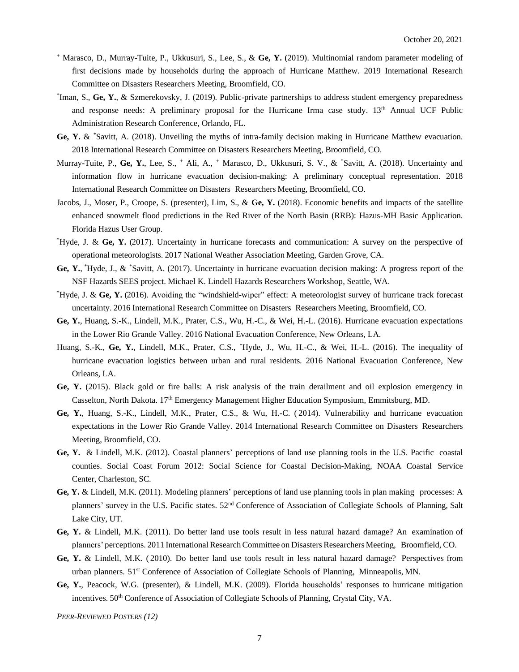- <sup>+</sup> Marasco, D., Murray-Tuite, P., Ukkusuri, S., Lee, S., & **Ge, Y.** (2019). Multinomial random parameter modeling of first decisions made by households during the approach of Hurricane Matthew. 2019 International Research Committee on Disasters Researchers Meeting, Broomfield, CO.
- \* Iman, S., **Ge, Y.**, & Szmerekovsky, J. (2019). Public-private partnerships to address student emergency preparedness and response needs: A preliminary proposal for the Hurricane Irma case study. 13<sup>th</sup> Annual UCF Public Administration Research Conference, Orlando, FL.
- **Ge, Y.** & \*Savitt, A. (2018). Unveiling the myths of intra-family decision making in Hurricane Matthew evacuation. 2018 International Research Committee on Disasters Researchers Meeting, Broomfield, CO.
- Murray-Tuite, P., **Ge, Y.**, Lee, S., <sup>+</sup> Ali, A., <sup>+</sup> Marasco, D., Ukkusuri, S. V., & \*Savitt, A. (2018). Uncertainty and information flow in hurricane evacuation decision-making: A preliminary conceptual representation. 2018 International Research Committee on Disasters Researchers Meeting, Broomfield, CO.
- Jacobs, J., Moser, P., Croope, S. (presenter), Lim, S., & **Ge, Y.** (2018). Economic benefits and impacts of the satellite enhanced snowmelt flood predictions in the Red River of the North Basin (RRB): Hazus-MH Basic Application. Florida Hazus User Group.
- \*Hyde, J. & **Ge, Y.** (2017). Uncertainty in hurricane forecasts and communication: A survey on the perspective of operational meteorologists. 2017 National Weather Association Meeting, Garden Grove, CA.
- **Ge, Y.**, \*Hyde, J., & \*Savitt, A. (2017). Uncertainty in hurricane evacuation decision making: A progress report of the NSF Hazards SEES project. Michael K. Lindell Hazards Researchers Workshop, Seattle, WA.
- \*Hyde, J. & **Ge, Y.** (2016). Avoiding the "windshield-wiper" effect: A meteorologist survey of hurricane track forecast uncertainty. 2016 International Research Committee on Disasters Researchers Meeting, Broomfield, CO.
- **Ge, Y.**, Huang, S.-K., Lindell, M.K., Prater, C.S., Wu, H.-C., & Wei, H.-L. (2016). Hurricane evacuation expectations in the Lower Rio Grande Valley. 2016 National Evacuation Conference, New Orleans, LA.
- Huang, S.-K., **Ge, Y.**, Lindell, M.K., Prater, C.S., \*Hyde, J., Wu, H.-C., & Wei, H.-L. (2016). The inequality of hurricane evacuation logistics between urban and rural residents. 2016 National Evacuation Conference, New Orleans, LA.
- **Ge, Y.** (2015). Black gold or fire balls: A risk analysis of the train derailment and oil explosion emergency in Casselton, North Dakota. 17th Emergency Management Higher Education Symposium, Emmitsburg, MD.
- **Ge, Y.**, Huang, S.-K., Lindell, M.K., Prater, C.S., & Wu, H.-C. ( 2014). Vulnerability and hurricane evacuation expectations in the Lower Rio Grande Valley. 2014 International Research Committee on Disasters Researchers Meeting, Broomfield, CO.
- **Ge, Y.** & Lindell, M.K. (2012). Coastal planners' perceptions of land use planning tools in the U.S. Pacific coastal counties. Social Coast Forum 2012: Social Science for Coastal Decision-Making, NOAA Coastal Service Center, Charleston, SC.
- **Ge, Y.** & Lindell, M.K. (2011). Modeling planners' perceptions of land use planning tools in plan making processes: A planners' survey in the U.S. Pacific states. 52nd Conference of Association of Collegiate Schools of Planning, Salt Lake City, UT.
- **Ge, Y.** & Lindell, M.K. (2011). Do better land use tools result in less natural hazard damage? An examination of planners' perceptions. 2011 International ResearchCommittee on Disasters Researchers Meeting, Broomfield, CO.
- **Ge, Y.** & Lindell, M.K. ( 2010). Do better land use tools result in less natural hazard damage? Perspectives from urban planners. 51st Conference of Association of Collegiate Schools of Planning, Minneapolis, MN.
- **Ge, Y.**, Peacock, W.G. (presenter), & Lindell, M.K. (2009). Florida households' responses to hurricane mitigation incentives. 50<sup>th</sup> Conference of Association of Collegiate Schools of Planning, Crystal City, VA.

*PEER-REVIEWED POSTERS (12)*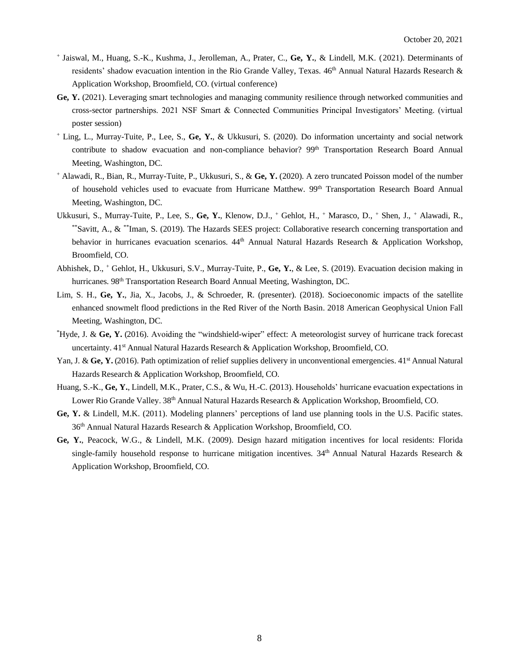- + Jaiswal, M., Huang, S.-K., Kushma, J., Jerolleman, A., Prater, C., **Ge, Y.**, & Lindell, M.K. (2021). Determinants of residents' shadow evacuation intention in the Rio Grande Valley, Texas. 46<sup>th</sup> Annual Natural Hazards Research & Application Workshop, Broomfield, CO. (virtual conference)
- **Ge, Y.** (2021). Leveraging smart technologies and managing community resilience through networked communities and cross-sector partnerships. 2021 NSF Smart & Connected Communities Principal Investigators' Meeting. (virtual poster session)
- <sup>+</sup> Ling, L., Murray-Tuite, P., Lee, S., **Ge, Y.**, & Ukkusuri, S. (2020). Do information uncertainty and social network contribute to shadow evacuation and non-compliance behavior? 99<sup>th</sup> Transportation Research Board Annual Meeting, Washington, DC.
- <sup>+</sup> Alawadi, R., Bian, R., Murray-Tuite, P., Ukkusuri, S., & **Ge, Y.** (2020). A zero truncated Poisson model of the number of household vehicles used to evacuate from Hurricane Matthew. 99<sup>th</sup> Transportation Research Board Annual Meeting, Washington, DC.
- Ukkusuri, S., Murray-Tuite, P., Lee, S., **Ge, Y.**, Klenow, D.J., <sup>+</sup> Gehlot, H., <sup>+</sup> Marasco, D., <sup>+</sup> Shen, J., <sup>+</sup> Alawadi, R., \*\*Savitt, A., & \*\*Iman, S. (2019). The Hazards SEES project: Collaborative research concerning transportation and behavior in hurricanes evacuation scenarios.  $44<sup>th</sup>$  Annual Natural Hazards Research & Application Workshop, Broomfield, CO.
- Abhishek, D., <sup>+</sup> Gehlot, H., Ukkusuri, S.V., Murray-Tuite, P., **Ge, Y.**, & Lee, S. (2019). Evacuation decision making in hurricanes. 98<sup>th</sup> Transportation Research Board Annual Meeting, Washington, DC.
- Lim, S. H., Ge, Y., Jia, X., Jacobs, J., & Schroeder, R. (presenter). (2018). Socioeconomic impacts of the satellite enhanced snowmelt flood predictions in the Red River of the North Basin. 2018 American Geophysical Union Fall Meeting, Washington, DC.
- \*Hyde, J. & **Ge, Y.** (2016). Avoiding the "windshield-wiper" effect: A meteorologist survey of hurricane track forecast uncertainty. 41<sup>st</sup> Annual Natural Hazards Research & Application Workshop, Broomfield, CO.
- Yan, J. & Ge, Y. (2016). Path optimization of relief supplies delivery in unconventional emergencies. 41<sup>st</sup> Annual Natural Hazards Research & Application Workshop, Broomfield, CO.
- Huang, S.-K., **Ge, Y.**, Lindell, M.K., Prater, C.S., & Wu, H.-C. (2013). Households' hurricane evacuation expectations in Lower Rio Grande Valley. 38<sup>th</sup> Annual Natural Hazards Research & Application Workshop, Broomfield, CO.
- **Ge, Y.** & Lindell, M.K. (2011). Modeling planners' perceptions of land use planning tools in the U.S. Pacific states. 36th Annual Natural Hazards Research & Application Workshop, Broomfield, CO.
- **Ge, Y.**, Peacock, W.G., & Lindell, M.K. (2009). Design hazard mitigation incentives for local residents: Florida single-family household response to hurricane mitigation incentives.  $34<sup>th</sup>$  Annual Natural Hazards Research & Application Workshop, Broomfield, CO.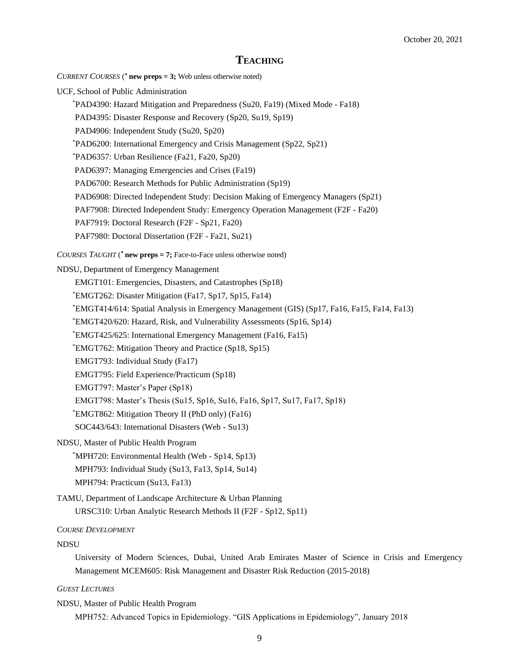## **TEACHING**

- *CURRENT COURSES* ( *\** **new preps = 3;** Web unless otherwise noted)
- UCF, School of Public Administration
	- \*PAD4390: Hazard Mitigation and Preparedness (Su20, Fa19) (Mixed Mode Fa18)
	- PAD4395: Disaster Response and Recovery (Sp20, Su19, Sp19)
	- PAD4906: Independent Study (Su20, Sp20)
	- \*PAD6200: International Emergency and Crisis Management (Sp22, Sp21)
	- \*PAD6357: Urban Resilience (Fa21, Fa20, Sp20)
	- PAD6397: Managing Emergencies and Crises (Fa19)
	- PAD6700: Research Methods for Public Administration (Sp19)
	- PAD6908: Directed Independent Study: Decision Making of Emergency Managers (Sp21)
	- PAF7908: Directed Independent Study: Emergency Operation Management (F2F Fa20)
	- PAF7919: Doctoral Research (F2F Sp21, Fa20)
	- PAF7980: Doctoral Dissertation (F2F Fa21, Su21)
- *COURSES TAUGHT* ( *\** **new preps = 7;** Face-to-Face unless otherwise noted)

#### NDSU, Department of Emergency Management

- EMGT101: Emergencies, Disasters, and Catastrophes (Sp18)
- \*EMGT262: Disaster Mitigation (Fa17, Sp17, Sp15, Fa14)
- \*EMGT414/614: Spatial Analysis in Emergency Management (GIS) (Sp17, Fa16, Fa15, Fa14, Fa13)
- \*EMGT420/620: Hazard, Risk, and Vulnerability Assessments (Sp16, Sp14)
- \*EMGT425/625: International Emergency Management (Fa16, Fa15)
- \*EMGT762: Mitigation Theory and Practice (Sp18, Sp15)
- EMGT793: Individual Study (Fa17)
- EMGT795: Field Experience/Practicum (Sp18)
- EMGT797: Master's Paper (Sp18)
- EMGT798: Master's Thesis (Su15, Sp16, Su16, Fa16, Sp17, Su17, Fa17, Sp18)
- \*EMGT862: Mitigation Theory II (PhD only) (Fa16)
- SOC443/643: International Disasters (Web Su13)

#### NDSU, Master of Public Health Program

- \*MPH720: Environmental Health (Web Sp14, Sp13)
- MPH793: Individual Study (Su13, Fa13, Sp14, Su14)
- MPH794: Practicum (Su13, Fa13)
- TAMU, Department of Landscape Architecture & Urban Planning URSC310: Urban Analytic Research Methods II (F2F - Sp12, Sp11)

#### *COURSE DEVELOPMENT*

### **NDSU**

University of Modern Sciences, Dubai, United Arab Emirates Master of Science in Crisis and Emergency Management MCEM605: Risk Management and Disaster Risk Reduction (2015-2018)

### *GUEST LECTURES*

NDSU, Master of Public Health Program

MPH752: Advanced Topics in Epidemiology. "GIS Applications in Epidemiology", January 2018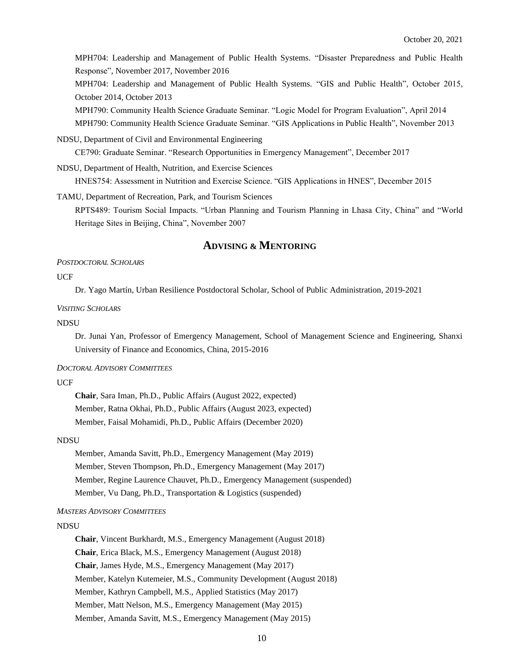MPH704: Leadership and Management of Public Health Systems. "Disaster Preparedness and Public Health Response", November 2017, November 2016

MPH704: Leadership and Management of Public Health Systems. "GIS and Public Health", October 2015, October 2014, October 2013

MPH790: Community Health Science Graduate Seminar. "Logic Model for Program Evaluation", April 2014

MPH790: Community Health Science Graduate Seminar. "GIS Applications in Public Health", November 2013

NDSU, Department of Civil and Environmental Engineering

CE790: Graduate Seminar. "Research Opportunities in Emergency Management", December 2017

NDSU, Department of Health, Nutrition, and Exercise Sciences

HNES754: Assessment in Nutrition and Exercise Science. "GIS Applications in HNES", December 2015

TAMU, Department of Recreation, Park, and Tourism Sciences

RPTS489: Tourism Social Impacts. "Urban Planning and Tourism Planning in Lhasa City, China" and "World Heritage Sites in Beijing, China", November 2007

## **ADVISING & MENTORING**

#### *POSTDOCTORAL SCHOLARS*

### **UCF**

Dr. Yago Martín, Urban Resilience Postdoctoral Scholar, School of Public Administration, 2019-2021

#### *VISITING SCHOLARS*

### NDSU

Dr. Junai Yan, Professor of Emergency Management, School of Management Science and Engineering, Shanxi University of Finance and Economics, China, 2015-2016

#### *DOCTORAL ADVISORY COMMITTEES*

### UCF

**Chair**, Sara Iman, Ph.D., Public Affairs (August 2022, expected) Member, Ratna Okhai, Ph.D., Public Affairs (August 2023, expected) Member, Faisal Mohamidi, Ph.D., Public Affairs (December 2020)

#### NDSU

Member, Amanda Savitt, Ph.D., Emergency Management (May 2019) Member, Steven Thompson, Ph.D., Emergency Management (May 2017) Member, Regine Laurence Chauvet, Ph.D., Emergency Management (suspended) Member, Vu Dang, Ph.D., Transportation & Logistics (suspended)

## *MASTERS ADVISORY COMMITTEES*

### NDSU

**Chair**, Vincent Burkhardt, M.S., Emergency Management (August 2018) **Chair**, Erica Black, M.S., Emergency Management (August 2018) **Chair**, James Hyde, M.S., Emergency Management (May 2017) Member, Katelyn Kutemeier, M.S., Community Development (August 2018) Member, Kathryn Campbell, M.S., Applied Statistics (May 2017) Member, Matt Nelson, M.S., Emergency Management (May 2015) Member, Amanda Savitt, M.S., Emergency Management (May 2015)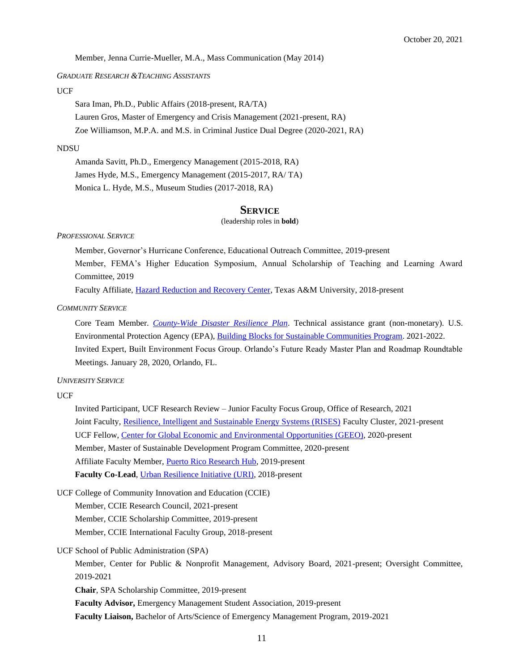Member, Jenna Currie-Mueller, M.A., Mass Communication (May 2014)

#### *GRADUATE RESEARCH &TEACHING ASSISTANTS*

### **UCF**

Sara Iman, Ph.D., Public Affairs (2018-present, RA/TA) Lauren Gros, Master of Emergency and Crisis Management (2021-present, RA) Zoe Williamson, M.P.A. and M.S. in Criminal Justice Dual Degree (2020-2021, RA)

### **NDSU**

Amanda Savitt, Ph.D., Emergency Management (2015-2018, RA) James Hyde, M.S., Emergency Management (2015-2017, RA/ TA) Monica L. Hyde, M.S., Museum Studies (2017-2018, RA)

### **SERVICE**

#### (leadership roles in **bold**)

*PROFESSIONAL SERVICE*

Member, Governor's Hurricane Conference, Educational Outreach Committee, 2019-present

Member, FEMA's Higher Education Symposium, Annual Scholarship of Teaching and Learning Award Committee, 2019

Faculty Affiliate, [Hazard Reduction and Recovery Center,](http://hrrc.arch.tamu.edu/Outreach%20/people/index.html) Texas A&M University, 2018-present

#### *COMMUNITY SERVICE*

Core Team Member. *[County-Wide Disaster Resilience Plan](https://www.epa.gov/newsreleases/epa-provide-building-blocks-assistance-orange-county-florida)*. Technical assistance grant (non-monetary). U.S. Environmental Protection Agency (EPA), [Building Blocks for Sustainable Communities Program.](https://www.epa.gov/smartgrowth/building-blocks-sustainable-communities) 2021-2022. Invited Expert, Built Environment Focus Group. Orlando's Future Ready Master Plan and Roadmap Roundtable Meetings. January 28, 2020, Orlando, FL.

#### *UNIVERSITY SERVICE*

UCF

Invited Participant, UCF Research Review – Junior Faculty Focus Group, Office of Research, 2021 Joint Faculty, [Resilience, Intelligent and Sustainable Energy Systems \(RISES\)](https://www.ucf.edu/research/renewable-energy-systems/) Faculty Cluster, 2021-present UCF Fellow, [Center for Global Economic and Environmental Opportunities](https://sciences.ucf.edu/geeo/ucf-fellows/) (GEEO), 2020-present Member, Master of Sustainable Development Program Committee, 2020-present Affiliate Faculty Member, [Puerto Rico Research Hub,](https://sciences.ucf.edu/puerto-rico-hub/partnerships/) 2019-present **Faculty Co-Lead**[, Urban Resilience Initiative](https://ucfurbanresilience.wordpress.com/) (URI), 2018-present

UCF College of Community Innovation and Education (CCIE)

Member, CCIE Research Council, 2021-present

Member, CCIE Scholarship Committee, 2019-present

Member, CCIE International Faculty Group, 2018-present

UCF School of Public Administration (SPA)

Member, Center for Public & Nonprofit Management, Advisory Board, 2021-present; Oversight Committee, 2019-2021

**Chair**, SPA Scholarship Committee, 2019-present

**Faculty Advisor,** Emergency Management Student Association, 2019-present

**Faculty Liaison,** Bachelor of Arts/Science of Emergency Management Program, 2019-2021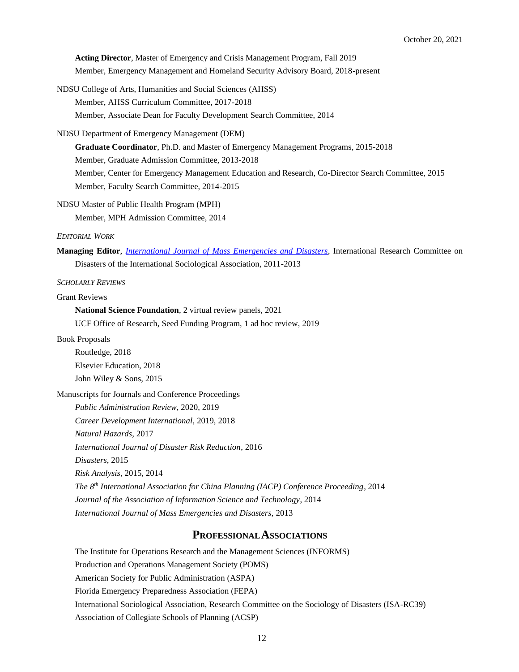**Acting Director**, Master of Emergency and Crisis Management Program, Fall 2019 Member, Emergency Management and Homeland Security Advisory Board, 2018-present

- NDSU College of Arts, Humanities and Social Sciences (AHSS) Member, AHSS Curriculum Committee, 2017-2018 Member, Associate Dean for Faculty Development Search Committee, 2014
- NDSU Department of Emergency Management (DEM)

**Graduate Coordinator**, Ph.D. and Master of Emergency Management Programs, 2015-2018 Member, Graduate Admission Committee, 2013-2018 Member, Center for Emergency Management Education and Research, Co-Director Search Committee, 2015

Member, Faculty Search Committee, 2014-2015

NDSU Master of Public Health Program (MPH)

Member, MPH Admission Committee, 2014

## *EDITORIAL WORK*

**Managing Editor**, *[International Journal of Mass Emergencies and Disasters](http://ijmed.org/)*, International Research Committee on Disasters of the International Sociological Association, 2011-2013

*SCHOLARLY REVIEWS*

Grant Reviews

**National Science Foundation**, 2 virtual review panels, 2021 UCF Office of Research, Seed Funding Program, 1 ad hoc review, 2019

Book Proposals

Routledge, 2018 Elsevier Education, 2018 John Wiley & Sons, 2015

Manuscripts for Journals and Conference Proceedings

*Public Administration Review*, 2020, 2019 *Career Development International*, 2019, 2018 *Natural Hazards*, 2017 *International Journal of Disaster Risk Reduction*, 2016 *Disasters*, 2015 *Risk Analysis*, 2015, 2014 *The 8th International Association for China Planning (IACP) Conference Proceeding*, 2014 *Journal of the Association of Information Science and Technology*, 2014 *International Journal of Mass Emergencies and Disasters*, 2013

## **PROFESSIONALASSOCIATIONS**

The Institute for Operations Research and the Management Sciences (INFORMS) Production and Operations Management Society (POMS) American Society for Public Administration (ASPA) Florida Emergency Preparedness Association (FEPA) International Sociological Association, Research Committee on the Sociology of Disasters (ISA-RC39) Association of Collegiate Schools of Planning (ACSP)